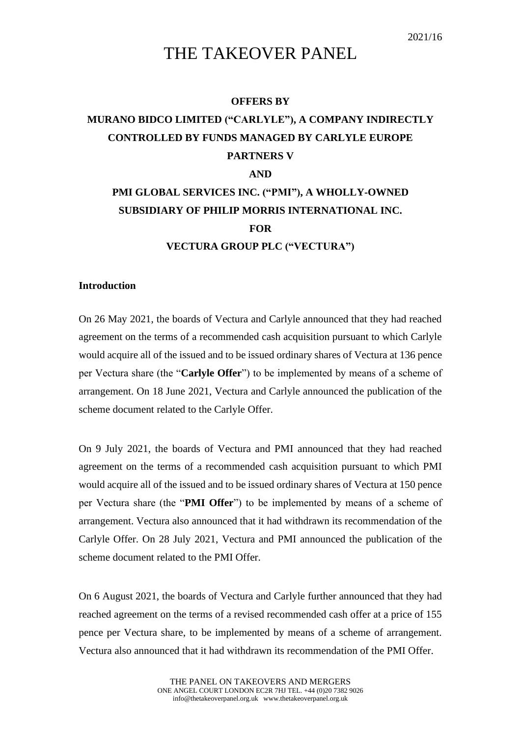## THE TAKEOVER PANEL

## **OFFERS BY**

## **MURANO BIDCO LIMITED ("CARLYLE"), A COMPANY INDIRECTLY CONTROLLED BY FUNDS MANAGED BY CARLYLE EUROPE PARTNERS V AND PMI GLOBAL SERVICES INC. ("PMI"), A WHOLLY-OWNED SUBSIDIARY OF PHILIP MORRIS INTERNATIONAL INC. FOR VECTURA GROUP PLC ("VECTURA")**

## **Introduction**

On 26 May 2021, the boards of Vectura and Carlyle announced that they had reached agreement on the terms of a recommended cash acquisition pursuant to which Carlyle would acquire all of the issued and to be issued ordinary shares of Vectura at 136 pence per Vectura share (the "**Carlyle Offer**") to be implemented by means of a scheme of arrangement. On 18 June 2021, Vectura and Carlyle announced the publication of the scheme document related to the Carlyle Offer.

On 9 July 2021, the boards of Vectura and PMI announced that they had reached agreement on the terms of a recommended cash acquisition pursuant to which PMI would acquire all of the issued and to be issued ordinary shares of Vectura at 150 pence per Vectura share (the "**PMI Offer**") to be implemented by means of a scheme of arrangement. Vectura also announced that it had withdrawn its recommendation of the Carlyle Offer. On 28 July 2021, Vectura and PMI announced the publication of the scheme document related to the PMI Offer.

On 6 August 2021, the boards of Vectura and Carlyle further announced that they had reached agreement on the terms of a revised recommended cash offer at a price of 155 pence per Vectura share, to be implemented by means of a scheme of arrangement. Vectura also announced that it had withdrawn its recommendation of the PMI Offer.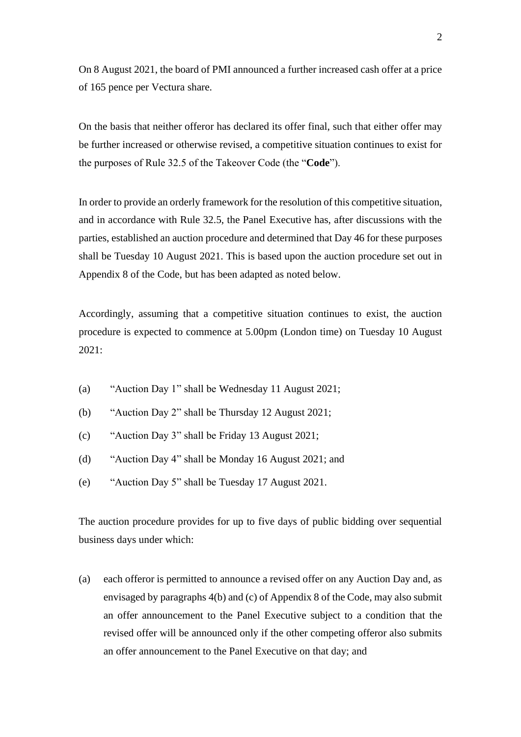On 8 August 2021, the board of PMI announced a further increased cash offer at a price of 165 pence per Vectura share.

On the basis that neither offeror has declared its offer final, such that either offer may be further increased or otherwise revised, a competitive situation continues to exist for the purposes of Rule 32.5 of the Takeover Code (the "**Code**").

In order to provide an orderly framework for the resolution of this competitive situation, and in accordance with Rule 32.5, the Panel Executive has, after discussions with the parties, established an auction procedure and determined that Day 46 for these purposes shall be Tuesday 10 August 2021. This is based upon the auction procedure set out in Appendix 8 of the Code, but has been adapted as noted below.

Accordingly, assuming that a competitive situation continues to exist, the auction procedure is expected to commence at 5.00pm (London time) on Tuesday 10 August  $2021$ 

- (a) "Auction Day 1" shall be Wednesday 11 August 2021;
- (b) "Auction Day 2" shall be Thursday 12 August 2021;
- (c) "Auction Day 3" shall be Friday 13 August 2021;
- (d) "Auction Day 4" shall be Monday 16 August 2021; and
- (e) "Auction Day 5" shall be Tuesday 17 August 2021.

The auction procedure provides for up to five days of public bidding over sequential business days under which:

(a) each offeror is permitted to announce a revised offer on any Auction Day and, as envisaged by paragraphs 4(b) and (c) of Appendix 8 of the Code, may also submit an offer announcement to the Panel Executive subject to a condition that the revised offer will be announced only if the other competing offeror also submits an offer announcement to the Panel Executive on that day; and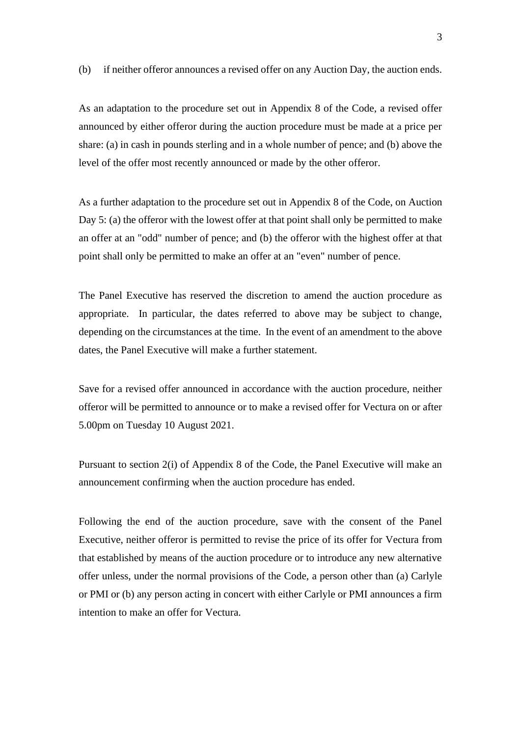(b) if neither offeror announces a revised offer on any Auction Day, the auction ends.

As an adaptation to the procedure set out in Appendix 8 of the Code, a revised offer announced by either offeror during the auction procedure must be made at a price per share: (a) in cash in pounds sterling and in a whole number of pence; and (b) above the level of the offer most recently announced or made by the other offeror.

As a further adaptation to the procedure set out in Appendix 8 of the Code, on Auction Day 5: (a) the offeror with the lowest offer at that point shall only be permitted to make an offer at an "odd" number of pence; and (b) the offeror with the highest offer at that point shall only be permitted to make an offer at an "even" number of pence.

The Panel Executive has reserved the discretion to amend the auction procedure as appropriate. In particular, the dates referred to above may be subject to change, depending on the circumstances at the time. In the event of an amendment to the above dates, the Panel Executive will make a further statement.

Save for a revised offer announced in accordance with the auction procedure, neither offeror will be permitted to announce or to make a revised offer for Vectura on or after 5.00pm on Tuesday 10 August 2021.

Pursuant to section 2(i) of Appendix 8 of the Code, the Panel Executive will make an announcement confirming when the auction procedure has ended.

Following the end of the auction procedure, save with the consent of the Panel Executive, neither offeror is permitted to revise the price of its offer for Vectura from that established by means of the auction procedure or to introduce any new alternative offer unless, under the normal provisions of the Code, a person other than (a) Carlyle or PMI or (b) any person acting in concert with either Carlyle or PMI announces a firm intention to make an offer for Vectura.